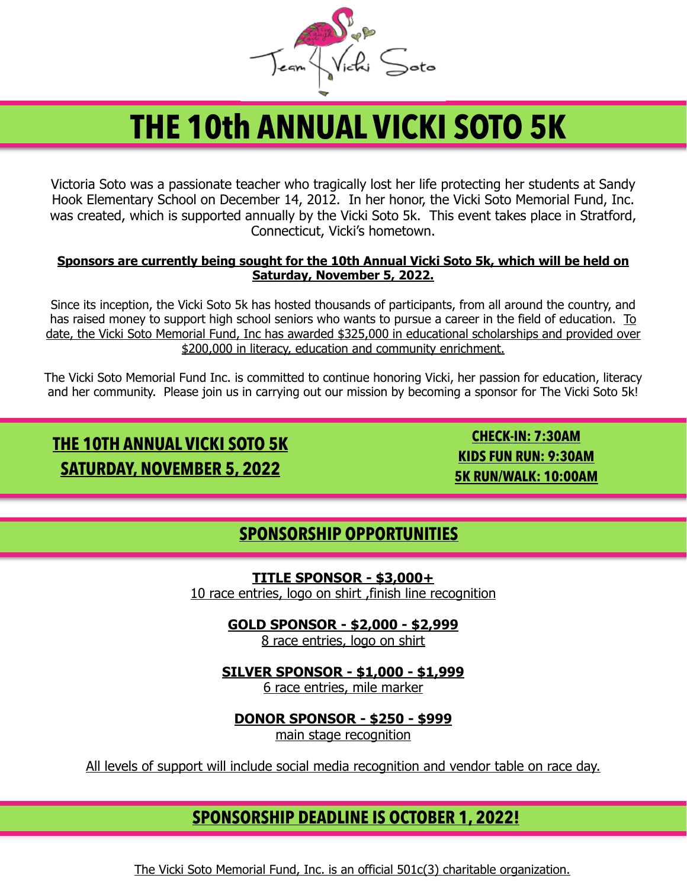

# **THE 10th ANNUAL VICKI SOTO 5K**

Victoria Soto was a passionate teacher who tragically lost her life protecting her students at Sandy Hook Elementary School on December 14, 2012. In her honor, the Vicki Soto Memorial Fund, Inc. was created, which is supported annually by the Vicki Soto 5k. This event takes place in Stratford, Connecticut, Vicki's hometown.

#### **Sponsors are currently being sought for the 10th Annual Vicki Soto 5k, which will be held on Saturday, November 5, 2022.**

Since its inception, the Vicki Soto 5k has hosted thousands of participants, from all around the country, and has raised money to support high school seniors who wants to pursue a career in the field of education. To date, the Vicki Soto Memorial Fund, Inc has awarded \$325,000 in educational scholarships and provided over \$200,000 in literacy, education and community enrichment.

The Vicki Soto Memorial Fund Inc. is committed to continue honoring Vicki, her passion for education, literacy and her community. Please join us in carrying out our mission by becoming a sponsor for The Vicki Soto 5k!

# **THE 10TH ANNUAL VICKI SOTO 5K SATURDAY, NOVEMBER 5, 2022**

**CHECK-IN: 7:30AM KIDS FUN RUN: 9:30AM 5K RUN/WALK: 10:00AM**

#### **SPONSORSHIP OPPORTUNITIES**

**TITLE SPONSOR - \$3,000+** 10 race entries, logo on shirt ,finish line recognition

**GOLD SPONSOR - \$2,000 - \$2,999**

8 race entries, logo on shirt

**SILVER SPONSOR - \$1,000 - \$1,999**

6 race entries, mile marker

**DONOR SPONSOR - \$250 - \$999**

main stage recognition

All levels of support will include social media recognition and vendor table on race day.

#### **SPONSORSHIP DEADLINE IS OCTOBER 1, 2022!**

The Vicki Soto Memorial Fund, Inc. is an official 501c(3) charitable organization.